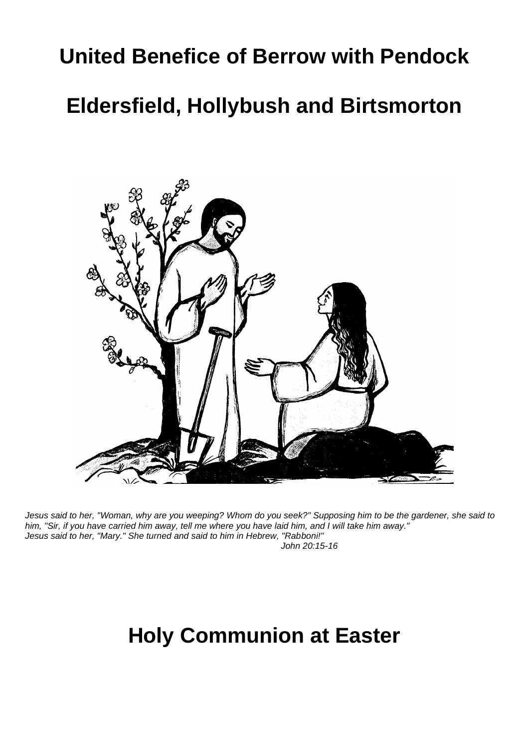# **United Benefice of Berrow with Pendock**

## **Eldersfield, Hollybush and Birtsmorton**



*Jesus said to her, "Woman, why are you weeping? Whom do you seek?" Supposing him to be the gardener, she said to him, "Sir, if you have carried him away, tell me where you have laid him, and I will take him away." Jesus said to her, "Mary." She turned and said to him in Hebrew, "Rabboni!" John 20:15-16*

## **Holy Communion at Easter**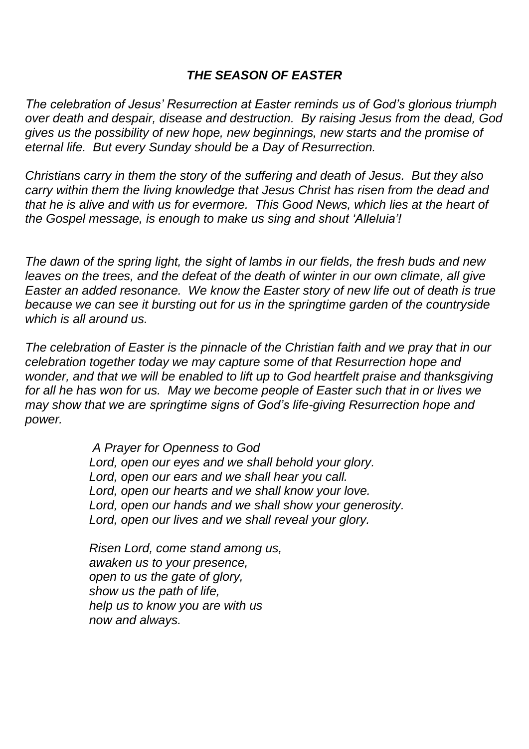#### *THE SEASON OF EASTER*

*The celebration of Jesus' Resurrection at Easter reminds us of God's glorious triumph over death and despair, disease and destruction. By raising Jesus from the dead, God gives us the possibility of new hope, new beginnings, new starts and the promise of eternal life. But every Sunday should be a Day of Resurrection.*

*Christians carry in them the story of the suffering and death of Jesus. But they also carry within them the living knowledge that Jesus Christ has risen from the dead and that he is alive and with us for evermore. This Good News, which lies at the heart of the Gospel message, is enough to make us sing and shout 'Alleluia'!*

*The dawn of the spring light, the sight of lambs in our fields, the fresh buds and new leaves on the trees, and the defeat of the death of winter in our own climate, all give Easter an added resonance. We know the Easter story of new life out of death is true because we can see it bursting out for us in the springtime garden of the countryside which is all around us.*

*The celebration of Easter is the pinnacle of the Christian faith and we pray that in our celebration together today we may capture some of that Resurrection hope and wonder, and that we will be enabled to lift up to God heartfelt praise and thanksgiving for all he has won for us. May we become people of Easter such that in or lives we may show that we are springtime signs of God's life-giving Resurrection hope and power.*

> *A Prayer for Openness to God Lord, open our eyes and we shall behold your glory. Lord, open our ears and we shall hear you call. Lord, open our hearts and we shall know your love. Lord, open our hands and we shall show your generosity. Lord, open our lives and we shall reveal your glory.*

*Risen Lord, come stand among us, awaken us to your presence, open to us the gate of glory, show us the path of life, help us to know you are with us now and always.*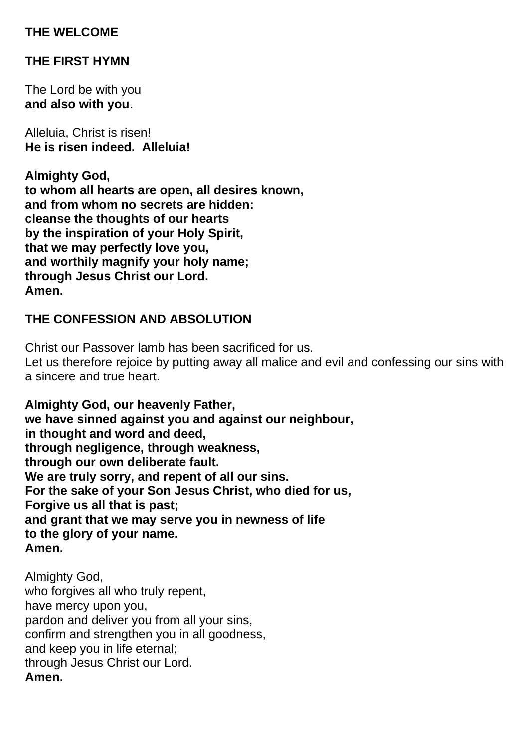#### **THE WELCOME**

#### **THE FIRST HYMN**

The Lord be with you **and also with you**.

Alleluia, Christ is risen! **He is risen indeed. Alleluia!**

**Almighty God, to whom all hearts are open, all desires known, and from whom no secrets are hidden: cleanse the thoughts of our hearts by the inspiration of your Holy Spirit, that we may perfectly love you, and worthily magnify your holy name; through Jesus Christ our Lord. Amen.**

### **THE CONFESSION AND ABSOLUTION**

Christ our Passover lamb has been sacrificed for us. Let us therefore rejoice by putting away all malice and evil and confessing our sins with a sincere and true heart.

**Almighty God, our heavenly Father, we have sinned against you and against our neighbour, in thought and word and deed, through negligence, through weakness, through our own deliberate fault. We are truly sorry, and repent of all our sins. For the sake of your Son Jesus Christ, who died for us, Forgive us all that is past; and grant that we may serve you in newness of life to the glory of your name. Amen.**

Almighty God, who forgives all who truly repent, have mercy upon you, pardon and deliver you from all your sins, confirm and strengthen you in all goodness, and keep you in life eternal; through Jesus Christ our Lord. **Amen.**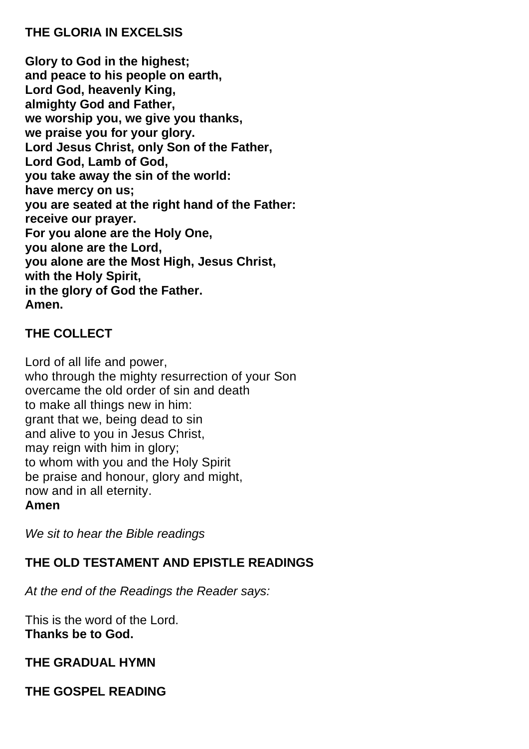### **THE GLORIA IN EXCELSIS**

**Glory to God in the highest; and peace to his people on earth, Lord God, heavenly King, almighty God and Father, we worship you, we give you thanks, we praise you for your glory. Lord Jesus Christ, only Son of the Father, Lord God, Lamb of God, you take away the sin of the world: have mercy on us; you are seated at the right hand of the Father: receive our prayer. For you alone are the Holy One, you alone are the Lord, you alone are the Most High, Jesus Christ, with the Holy Spirit, in the glory of God the Father. Amen.**

## **THE COLLECT**

Lord of all life and power, who through the mighty resurrection of your Son overcame the old order of sin and death to make all things new in him: grant that we, being dead to sin and alive to you in Jesus Christ, may reign with him in glory; to whom with you and the Holy Spirit be praise and honour, glory and might, now and in all eternity.

#### **Amen**

*We sit to hear the Bible readings*

## **THE OLD TESTAMENT AND EPISTLE READINGS**

*At the end of the Readings the Reader says:* 

This is the word of the Lord. **Thanks be to God.**

**THE GRADUAL HYMN**

**THE GOSPEL READING**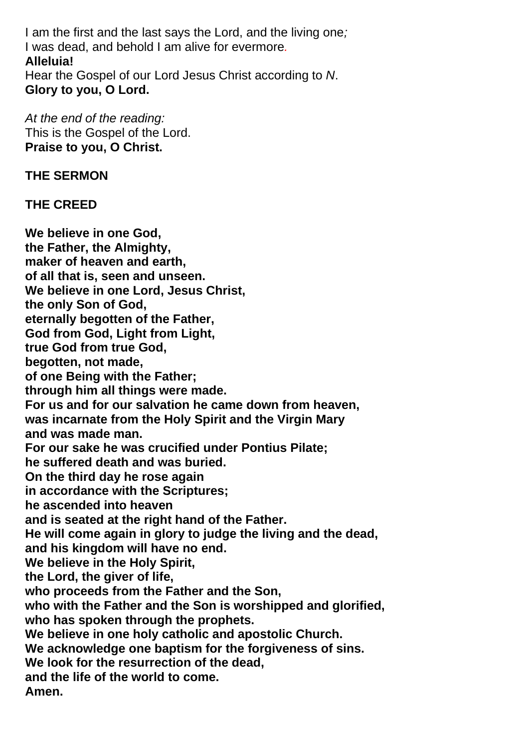I am the first and the last says the Lord, and the living one*;* I was dead, and behold I am alive for evermore*.* **Alleluia!** Hear the Gospel of our Lord Jesus Christ according to *N*. **Glory to you, O Lord.**

*At the end of the reading:* This is the Gospel of the Lord. **Praise to you, O Christ.**

**THE SERMON**

#### **THE CREED**

**We believe in one God, the Father, the Almighty, maker of heaven and earth, of all that is, seen and unseen. We believe in one Lord, Jesus Christ, the only Son of God, eternally begotten of the Father, God from God, Light from Light, true God from true God, begotten, not made, of one Being with the Father; through him all things were made. For us and for our salvation he came down from heaven, was incarnate from the Holy Spirit and the Virgin Mary and was made man. For our sake he was crucified under Pontius Pilate; he suffered death and was buried. On the third day he rose again in accordance with the Scriptures; he ascended into heaven and is seated at the right hand of the Father. He will come again in glory to judge the living and the dead, and his kingdom will have no end. We believe in the Holy Spirit, the Lord, the giver of life, who proceeds from the Father and the Son, who with the Father and the Son is worshipped and glorified, who has spoken through the prophets. We believe in one holy catholic and apostolic Church. We acknowledge one baptism for the forgiveness of sins. We look for the resurrection of the dead, and the life of the world to come. Amen.**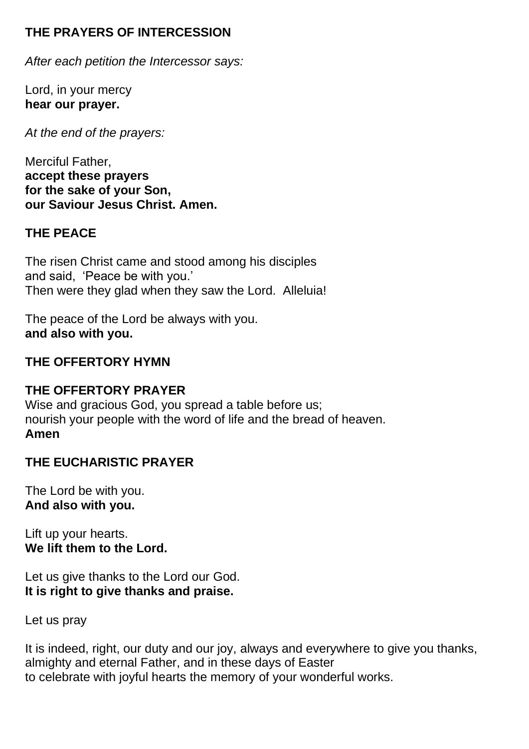## **THE PRAYERS OF INTERCESSION**

*After each petition the Intercessor says:*

Lord, in your mercy **hear our prayer.**

*At the end of the prayers:*

Merciful Father, **accept these prayers for the sake of your Son, our Saviour Jesus Christ. Amen.**

### **THE PEACE**

The risen Christ came and stood among his disciples and said, 'Peace be with you.' Then were they glad when they saw the Lord. Alleluia!

The peace of the Lord be always with you. **and also with you.**

### **THE OFFERTORY HYMN**

#### **THE OFFERTORY PRAYER**

Wise and gracious God, you spread a table before us; nourish your people with the word of life and the bread of heaven. **Amen**

## **THE EUCHARISTIC PRAYER**

The Lord be with you. **And also with you.**

Lift up your hearts. **We lift them to the Lord.** 

Let us give thanks to the Lord our God. **It is right to give thanks and praise.**

Let us pray

It is indeed, right, our duty and our joy, always and everywhere to give you thanks, almighty and eternal Father, and in these days of Easter to celebrate with joyful hearts the memory of your wonderful works.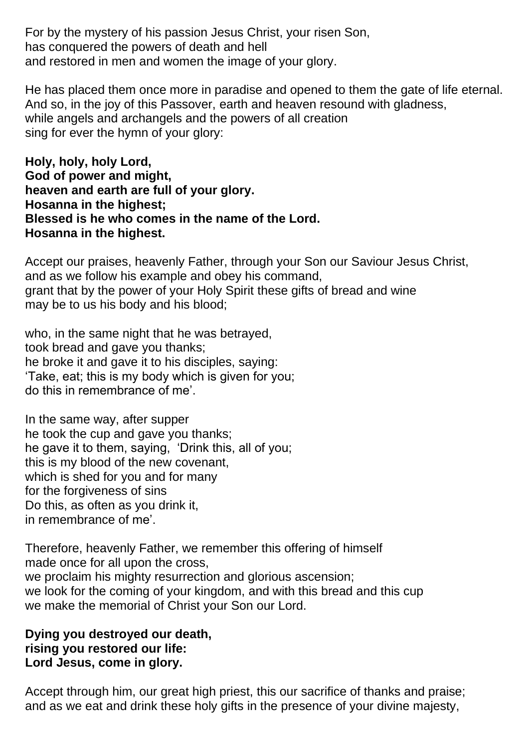For by the mystery of his passion Jesus Christ, your risen Son, has conquered the powers of death and hell and restored in men and women the image of your glory.

He has placed them once more in paradise and opened to them the gate of life eternal. And so, in the joy of this Passover, earth and heaven resound with gladness, while angels and archangels and the powers of all creation sing for ever the hymn of your glory:

**Holy, holy, holy Lord, God of power and might, heaven and earth are full of your glory. Hosanna in the highest; Blessed is he who comes in the name of the Lord. Hosanna in the highest.**

 Accept our praises, heavenly Father, through your Son our Saviour Jesus Christ, and as we follow his example and obey his command, grant that by the power of your Holy Spirit these gifts of bread and wine may be to us his body and his blood;

who, in the same night that he was betrayed, took bread and gave you thanks; he broke it and gave it to his disciples, saying: 'Take, eat; this is my body which is given for you; do this in remembrance of me'.

In the same way, after supper he took the cup and gave you thanks; he gave it to them, saying, 'Drink this, all of you; this is my blood of the new covenant, which is shed for you and for many for the forgiveness of sins Do this, as often as you drink it, in remembrance of me'.

Therefore, heavenly Father, we remember this offering of himself made once for all upon the cross, we proclaim his mighty resurrection and glorious ascension; we look for the coming of your kingdom, and with this bread and this cup we make the memorial of Christ your Son our Lord.

**Dying you destroyed our death, rising you restored our life: Lord Jesus, come in glory.**

Accept through him, our great high priest, this our sacrifice of thanks and praise; and as we eat and drink these holy gifts in the presence of your divine majesty,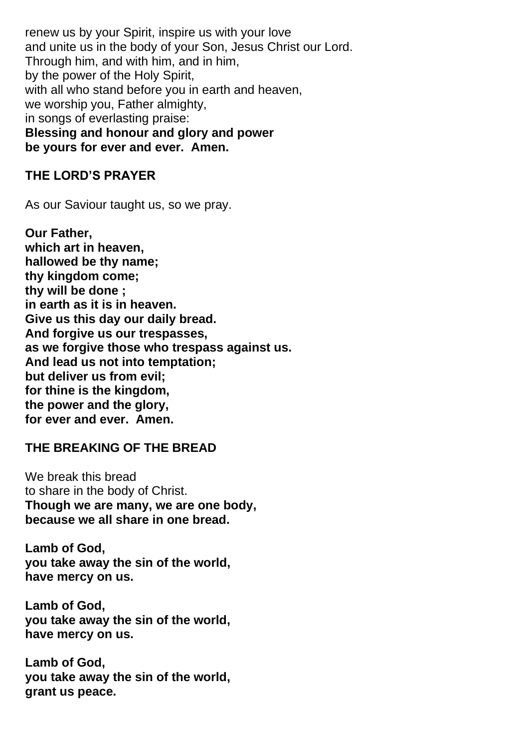renew us by your Spirit, inspire us with your love and unite us in the body of your Son, Jesus Christ our Lord. Through him, and with him, and in him, by the power of the Holy Spirit, with all who stand before you in earth and heaven, we worship you, Father almighty, in songs of everlasting praise: **Blessing and honour and glory and power be yours for ever and ever. Amen.**

#### **THE LORD'S PRAYER**

As our Saviour taught us, so we pray.

**Our Father, which art in heaven, hallowed be thy name; thy kingdom come; thy will be done ; in earth as it is in heaven. Give us this day our daily bread. And forgive us our trespasses, as we forgive those who trespass against us. And lead us not into temptation; but deliver us from evil; for thine is the kingdom, the power and the glory, for ever and ever. Amen.**

#### **THE BREAKING OF THE BREAD**

We break this bread to share in the body of Christ. **Though we are many, we are one body, because we all share in one bread.**

**Lamb of God, you take away the sin of the world, have mercy on us.**

**Lamb of God, you take away the sin of the world, have mercy on us.**

**Lamb of God, you take away the sin of the world, grant us peace.**